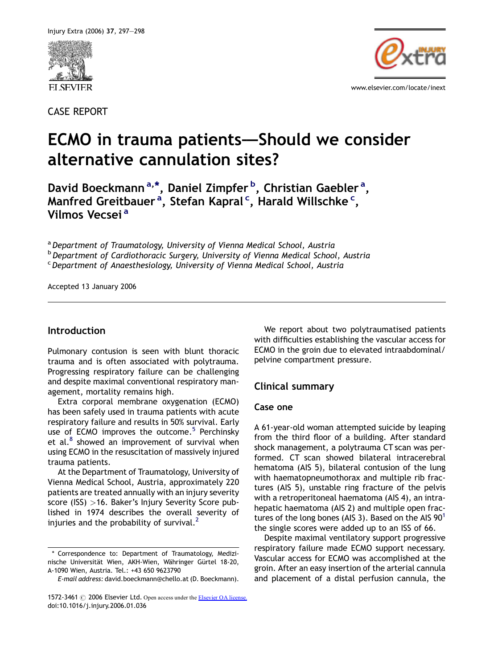

CASE REPORT



# ECMO in trauma patients–—Should we consider alternative cannulation sites?

David Boeckmann<sup>a,\*</sup>, Daniel Zimpfer <sup>b</sup>, Christian Gaebler <sup>a</sup>, Manfred Greitbauer <sup>a</sup>, Stefan Kapral <sup>c</sup>, Harald Willschke <sup>c</sup>, Vilmos Vecsei<sup>a</sup>

<sup>a</sup> Department of Traumatology, University of Vienna Medical School, Austria

**b** Department of Cardiothoracic Surgery, University of Vienna Medical School, Austria

<sup>c</sup> Department of Anaesthesiology, University of Vienna Medical School, Austria

Accepted 13 January 2006

# Introduction

Pulmonary contusion is seen with blunt thoracic trauma and is often associated with polytrauma. Progressing respiratory failure can be challenging and despite maximal conventional respiratory management, mortality remains high.

Extra corporal membrane oxygenation (ECMO) has been safely used in trauma patients with acute respiratory failure and results in 50% survival. Early use of ECMO improves the outcome.<sup>[5](#page-1-0)</sup> Perchinsky et al. $8$  showed an improvement of survival when using ECMO in the resuscitation of massively injured trauma patients.

At the Department of Traumatology, University of Vienna Medical School, Austria, approximately 220 patients are treated annually with an injury severity score (ISS) >16. Baker's Injury Severity Score published in 1974 describes the overall severity of injuries and the probability of survival. $<sup>2</sup>$  $<sup>2</sup>$  $<sup>2</sup>$ </sup>

We report about two polytraumatised patients with difficulties establishing the vascular access for ECMO in the groin due to elevated intraabdominal/ pelvine compartment pressure.

# Clinical summary

## Case one

A 61-year-old woman attempted suicide by leaping from the third floor of a building. After standard shock management, a polytrauma CT scan was performed. CT scan showed bilateral intracerebral hematoma (AIS 5), bilateral contusion of the lung with haematopneumothorax and multiple rib fractures (AIS 5), unstable ring fracture of the pelvis with a retroperitoneal haematoma (AIS 4), an intrahepatic haematoma (AIS 2) and multiple open fractures of the long bones (AIS 3). Based on the AIS  $90^1$  $90^1$ the single scores were added up to an ISS of 66.

Despite maximal ventilatory support progressive respiratory failure made ECMO support necessary. Vascular access for ECMO was accomplished at the groin. After an easy insertion of the arterial cannula and placement of a distal perfusion cannula, the

<sup>\*</sup> Correspondence to: Department of Traumatology, Medizinische Universität Wien, AKH-Wien, Währinger Gürtel 18-20, A-1090 Wien, Austria. Tel.: +43 650 9623790

E-mail address: david.boeckmann@chello.at (D. Boeckmann).

<sup>1572-3461 © 2006</sup> Elsevier Ltd. Open access under the [Elsevier OA license.](http://www.elsevier.com/open-access/userlicense/1.0/) doi:10.1016/j.injury.2006.01.036